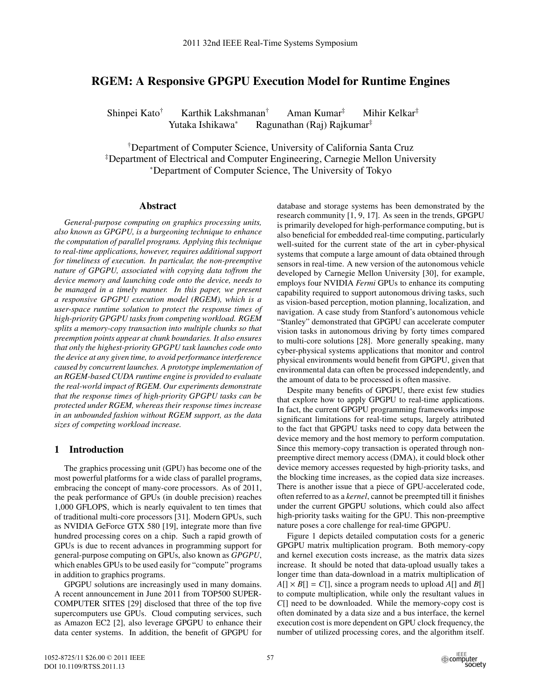# **RGEM: A Responsive GPGPU Execution Model for Runtime Engines**

Shinpei Kato† Karthik Lakshmanan† Aman Kumar‡ Mihir Kelkar‡ Yutaka Ishikawa<sup>∗</sup> Ragunathan (Raj) Rajkumar‡

†Department of Computer Science, University of California Santa Cruz ‡Department of Electrical and Computer Engineering, Carnegie Mellon University <sup>∗</sup> Department of Computer Science, The University of Tokyo

## **Abstract**

*General-purpose computing on graphics processing units, also known as GPGPU, is a burgeoning technique to enhance the computation of parallel programs. Applying this technique to real-time applications, however, requires additional support for timeliness of execution. In particular, the non-preemptive nature of GPGPU, associated with copying data to*/*from the device memory and launching code onto the device, needs to be managed in a timely manner. In this paper, we present a responsive GPGPU execution model (RGEM), which is a user-space runtime solution to protect the response times of high-priority GPGPU tasks from competing workload. RGEM splits a memory-copy transaction into multiple chunks so that preemption points appear at chunk boundaries. It also ensures that only the highest-priority GPGPU task launches code onto the device at any given time, to avoid performance interference caused by concurrent launches. A prototype implementation of an RGEM-based CUDA runtime engine is provided to evaluate the real-world impact of RGEM. Our experiments demonstrate that the response times of high-priority GPGPU tasks can be protected under RGEM, whereas their response times increase in an unbounded fashion without RGEM support, as the data sizes of competing workload increase.*

# **1 Introduction**

The graphics processing unit (GPU) has become one of the most powerful platforms for a wide class of parallel programs, embracing the concept of many-core processors. As of 2011, the peak performance of GPUs (in double precision) reaches 1,000 GFLOPS, which is nearly equivalent to ten times that of traditional multi-core processors [31]. Modern GPUs, such as NVIDIA GeForce GTX 580 [19], integrate more than five hundred processing cores on a chip. Such a rapid growth of GPUs is due to recent advances in programming support for general-purpose computing on GPUs, also known as *GPGPU*, which enables GPUs to be used easily for "compute" programs in addition to graphics programs.

GPGPU solutions are increasingly used in many domains. A recent announcement in June 2011 from TOP500 SUPER-COMPUTER SITES [29] disclosed that three of the top five supercomputers use GPUs. Cloud computing services, such as Amazon EC2 [2], also leverage GPGPU to enhance their data center systems. In addition, the benefit of GPGPU for database and storage systems has been demonstrated by the research community [1, 9, 17]. As seen in the trends, GPGPU is primarily developed for high-performance computing, but is also beneficial for embedded real-time computing, particularly well-suited for the current state of the art in cyber-physical systems that compute a large amount of data obtained through sensors in real-time. A new version of the autonomous vehicle developed by Carnegie Mellon University [30], for example, employs four NVIDIA *Fermi* GPUs to enhance its computing capability required to support autonomous driving tasks, such as vision-based perception, motion planning, localization, and navigation. A case study from Stanford's autonomous vehicle "Stanley" demonstrated that GPGPU can accelerate computer vision tasks in autonomous driving by forty times compared to multi-core solutions [28]. More generally speaking, many cyber-physical systems applications that monitor and control physical environments would benefit from GPGPU, given that environmental data can often be processed independently, and the amount of data to be processed is often massive.

Despite many benefits of GPGPU, there exist few studies that explore how to apply GPGPU to real-time applications. In fact, the current GPGPU programming frameworks impose significant limitations for real-time setups, largely attributed to the fact that GPGPU tasks need to copy data between the device memory and the host memory to perform computation. Since this memory-copy transaction is operated through nonpreemptive direct memory access (DMA), it could block other device memory accesses requested by high-priority tasks, and the blocking time increases, as the copied data size increases. There is another issue that a piece of GPU-accelerated code, often referred to as a *kernel*, cannot be preempted till it finishes under the current GPGPU solutions, which could also affect high-priority tasks waiting for the GPU. This non-preemptive nature poses a core challenge for real-time GPGPU.

Figure 1 depicts detailed computation costs for a generic GPGPU matrix multiplication program. Both memory-copy and kernel execution costs increase, as the matrix data sizes increase. It should be noted that data-upload usually takes a longer time than data-download in a matrix multiplication of  $A[]\times B[] = C[]$ , since a program needs to upload  $A[]$  and  $B[]$ to compute multiplication, while only the resultant values in *C*[] need to be downloaded. While the memory-copy cost is often dominated by a data size and a bus interface, the kernel execution cost is more dependent on GPU clock frequency, the number of utilized processing cores, and the algorithm itself.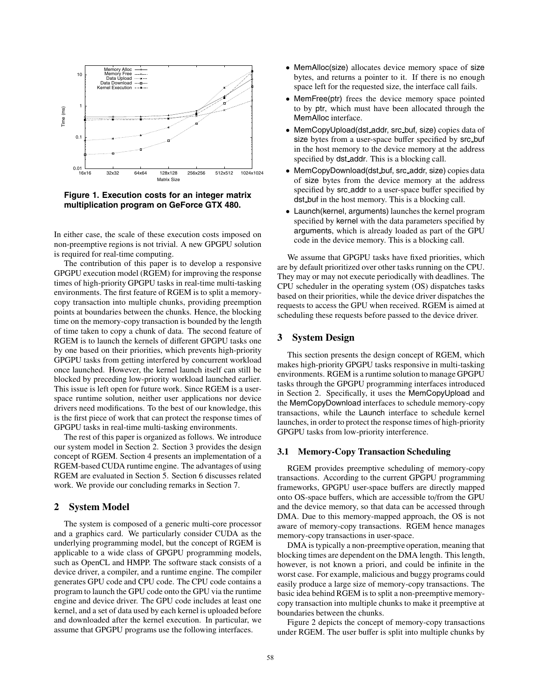

**Figure 1. Execution costs for an integer matrix multiplication program on GeForce GTX 480.**

In either case, the scale of these execution costs imposed on non-preemptive regions is not trivial. A new GPGPU solution is required for real-time computing.

The contribution of this paper is to develop a responsive GPGPU execution model (RGEM) for improving the response times of high-priority GPGPU tasks in real-time multi-tasking environments. The first feature of RGEM is to split a memorycopy transaction into multiple chunks, providing preemption points at boundaries between the chunks. Hence, the blocking time on the memory-copy transaction is bounded by the length of time taken to copy a chunk of data. The second feature of RGEM is to launch the kernels of different GPGPU tasks one by one based on their priorities, which prevents high-priority GPGPU tasks from getting interfered by concurrent workload once launched. However, the kernel launch itself can still be blocked by preceding low-priority workload launched earlier. This issue is left open for future work. Since RGEM is a userspace runtime solution, neither user applications nor device drivers need modifications. To the best of our knowledge, this is the first piece of work that can protect the response times of GPGPU tasks in real-time multi-tasking environments.

The rest of this paper is organized as follows. We introduce our system model in Section 2. Section 3 provides the design concept of RGEM. Section 4 presents an implementation of a RGEM-based CUDA runtime engine. The advantages of using RGEM are evaluated in Section 5. Section 6 discusses related work. We provide our concluding remarks in Section 7.

#### **2 System Model**

The system is composed of a generic multi-core processor and a graphics card. We particularly consider CUDA as the underlying programming model, but the concept of RGEM is applicable to a wide class of GPGPU programming models, such as OpenCL and HMPP. The software stack consists of a device driver, a compiler, and a runtime engine. The compiler generates GPU code and CPU code. The CPU code contains a program to launch the GPU code onto the GPU via the runtime engine and device driver. The GPU code includes at least one kernel, and a set of data used by each kernel is uploaded before and downloaded after the kernel execution. In particular, we assume that GPGPU programs use the following interfaces.

- MemAlloc(size) allocates device memory space of size bytes, and returns a pointer to it. If there is no enough space left for the requested size, the interface call fails.
- MemFree(ptr) frees the device memory space pointed to by ptr, which must have been allocated through the MemAlloc interface.
- MemCopyUpload(dst addr, src buf, size) copies data of size bytes from a user-space buffer specified by src buf in the host memory to the device memory at the address specified by dst addr. This is a blocking call.
- MemCopyDownload(dst\_buf, src\_addr, size) copies data of size bytes from the device memory at the address specified by src addr to a user-space buffer specified by dst buf in the host memory. This is a blocking call.
- Launch(kernel, arguments) launches the kernel program specified by kernel with the data parameters specified by arguments, which is already loaded as part of the GPU code in the device memory. This is a blocking call.

We assume that GPGPU tasks have fixed priorities, which are by default prioritized over other tasks running on the CPU. They may or may not execute periodically with deadlines. The CPU scheduler in the operating system (OS) dispatches tasks based on their priorities, while the device driver dispatches the requests to access the GPU when received. RGEM is aimed at scheduling these requests before passed to the device driver.

#### **3 System Design**

This section presents the design concept of RGEM, which makes high-priority GPGPU tasks responsive in multi-tasking environments. RGEM is a runtime solution to manage GPGPU tasks through the GPGPU programming interfaces introduced in Section 2. Specifically, it uses the MemCopyUpload and the MemCopyDownload interfaces to schedule memory-copy transactions, while the Launch interface to schedule kernel launches, in order to protect the response times of high-priority GPGPU tasks from low-priority interference.

#### **3.1 Memory-Copy Transaction Scheduling**

RGEM provides preemptive scheduling of memory-copy transactions. According to the current GPGPU programming frameworks, GPGPU user-space buffers are directly mapped onto OS-space buffers, which are accessible to/from the GPU and the device memory, so that data can be accessed through DMA. Due to this memory-mapped approach, the OS is not aware of memory-copy transactions. RGEM hence manages memory-copy transactions in user-space.

DMA is typically a non-preemptive operation, meaning that blocking times are dependent on the DMA length. This length, however, is not known a priori, and could be infinite in the worst case. For example, malicious and buggy programs could easily produce a large size of memory-copy transactions. The basic idea behind RGEM is to split a non-preemptive memorycopy transaction into multiple chunks to make it preemptive at boundaries between the chunks.

Figure 2 depicts the concept of memory-copy transactions under RGEM. The user buffer is split into multiple chunks by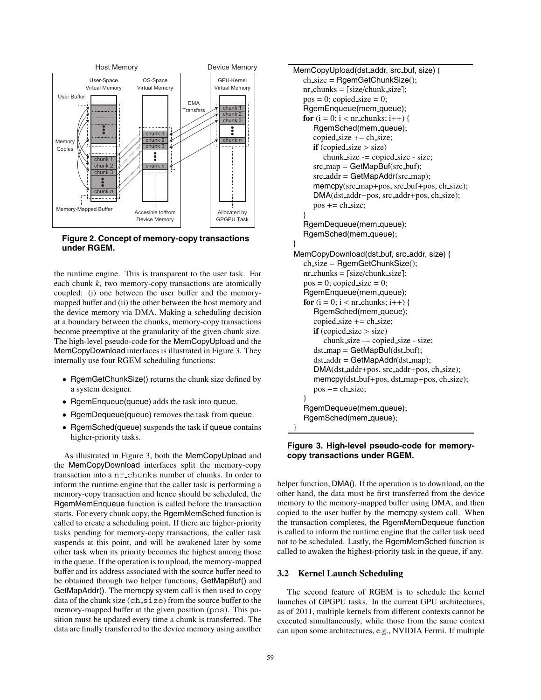

**Figure 2. Concept of memory-copy transactions under RGEM.**

the runtime engine. This is transparent to the user task. For each chunk *k*, two memory-copy transactions are atomically coupled: (i) one between the user buffer and the memorymapped buffer and (ii) the other between the host memory and the device memory via DMA. Making a scheduling decision at a boundary between the chunks, memory-copy transactions become preemptive at the granularity of the given chunk size. The high-level pseudo-code for the MemCopyUpload and the MemCopyDownload interfaces is illustrated in Figure 3. They internally use four RGEM scheduling functions:

- RgemGetChunkSize() returns the chunk size defined by a system designer.
- RgemEnqueue(queue) adds the task into queue.
- RgemDequeue(queue) removes the task from queue.
- RgemSched(queue) suspends the task if queue contains higher-priority tasks.

As illustrated in Figure 3, both the MemCopyUpload and the MemCopyDownload interfaces split the memory-copy transaction into a nr chunks number of chunks. In order to inform the runtime engine that the caller task is performing a memory-copy transaction and hence should be scheduled, the RgemMemEnqueue function is called before the transaction starts. For every chunk copy, the RgemMemSched function is called to create a scheduling point. If there are higher-priority tasks pending for memory-copy transactions, the caller task suspends at this point, and will be awakened later by some other task when its priority becomes the highest among those in the queue. If the operation is to upload, the memory-mapped buffer and its address associated with the source buffer need to be obtained through two helper functions, GetMapBuf() and GetMapAddr(). The memcpy system call is then used to copy data of the chunk size (ch size) from the source buffer to the memory-mapped buffer at the given position (pos). This position must be updated every time a chunk is transferred. The data are finally transferred to the device memory using another

```
MemCopyUpload(dst addr, src buf, size) {
   ch size = RgemGetChunkSize();
   nr_{\text{chunks}} = [size/chunk_{\text{size}}];pos = 0; copied_size = 0;
   RgemEnqueue(mem queue);
   for (i = 0; i < nr chunks; i++) {
     RgemSched(mem queue);
     coplied_size += ch_size;
     if (copied size > size)
        chunk size -= copied size - size;
     src\_map = GetMapBuf(src_buf);src\_addr = GetMapAddr(src\_map);memcpy(src_map+pos, src_buf+pos, ch_size);
     DMA(dst addr+pos, src addr+pos, ch size);
     pos += ch_size;}
   RgemDequeue(mem queue);
   RgemSched(mem queue);
}
MemCopyDownload(dst buf, src addr, size) {
   ch size = RgemGetChunkSize();
   nr_{\text{chunks}} = [size/chunk\_size];pos = 0; copied_size = 0;
   RgemEnqueue(mem queue);
   for (i = 0; i < nr chunks; i++) {
      RgemSched(mem queue);
      copied size += ch size;
      if (copied size > size)
         chunk size -= copied size - size;
      dst map = GetMapBuf(dst buf);
      dst addr = GetMapAddr(dst map);
      DMA(dst addr+pos, src addr+pos, ch size);
      memcpy(dst_buf+pos, dst_map+pos, ch_size);
      pos += ch.size;}
   RgemDequeue(mem queue);
   RgemSched(mem_queue);
}
```
#### **Figure 3. High-level pseudo-code for memorycopy transactions under RGEM.**

helper function, DMA(). If the operation is to download, on the other hand, the data must be first transferred from the device memory to the memory-mapped buffer using DMA, and then copied to the user buffer by the memcpy system call. When the transaction completes, the RgemMemDequeue function is called to inform the runtime engine that the caller task need not to be scheduled. Lastly, the RgemMemSched function is called to awaken the highest-priority task in the queue, if any.

## **3.2 Kernel Launch Scheduling**

The second feature of RGEM is to schedule the kernel launches of GPGPU tasks. In the current GPU architectures, as of 2011, multiple kernels from different contexts cannot be executed simultaneously, while those from the same context can upon some architectures, e.g., NVIDIA Fermi. If multiple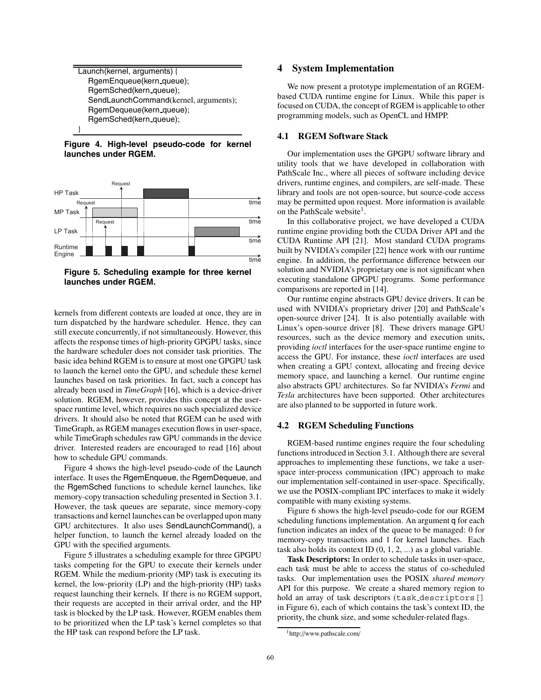





**Figure 5. Scheduling example for three kernel launches under RGEM.**

kernels from different contexts are loaded at once, they are in turn dispatched by the hardware scheduler. Hence, they can still execute concurrently, if not simultaneously. However, this affects the response times of high-priority GPGPU tasks, since the hardware scheduler does not consider task priorities. The basic idea behind RGEM is to ensure at most one GPGPU task to launch the kernel onto the GPU, and schedule these kernel launches based on task priorities. In fact, such a concept has already been used in *TimeGraph* [16], which is a device-driver solution. RGEM, however, provides this concept at the userspace runtime level, which requires no such specialized device drivers. It should also be noted that RGEM can be used with TimeGraph, as RGEM manages execution flows in user-space, while TimeGraph schedules raw GPU commands in the device driver. Interested readers are encouraged to read [16] about how to schedule GPU commands.

Figure 4 shows the high-level pseudo-code of the Launch interface. It uses the RgemEnqueue, the RgemDequeue, and the RgemSched functions to schedule kernel launches, like memory-copy transaction scheduling presented in Section 3.1. However, the task queues are separate, since memory-copy transactions and kernel launches can be overlapped upon many GPU architectures. It also uses SendLaunchCommand(), a helper function, to launch the kernel already loaded on the GPU with the specified arguments.

Figure 5 illustrates a scheduling example for three GPGPU tasks competing for the GPU to execute their kernels under RGEM. While the medium-priority (MP) task is executing its kernel, the low-priority (LP) and the high-priority (HP) tasks request launching their kernels. If there is no RGEM support, their requests are accepted in their arrival order, and the HP task is blocked by the LP task. However, RGEM enables them to be prioritized when the LP task's kernel completes so that the HP task can respond before the LP task.

## **4 System Implementation**

We now present a prototype implementation of an RGEMbased CUDA runtime engine for Linux. While this paper is focused on CUDA, the concept of RGEM is applicable to other programming models, such as OpenCL and HMPP.

# **4.1 RGEM Software Stack**

Our implementation uses the GPGPU software library and utility tools that we have developed in collaboration with PathScale Inc., where all pieces of software including device drivers, runtime engines, and compilers, are self-made. These library and tools are not open-source, but source-code access may be permitted upon request. More information is available on the PathScale website<sup>1</sup>.

In this collaborative project, we have developed a CUDA runtime engine providing both the CUDA Driver API and the CUDA Runtime API [21]. Most standard CUDA programs built by NVIDIA's compiler [22] hence work with our runtime engine. In addition, the performance difference between our solution and NVIDIA's proprietary one is not significant when executing standalone GPGPU programs. Some performance comparisons are reported in [14].

Our runtime engine abstracts GPU device drivers. It can be used with NVIDIA's proprietary driver [20] and PathScale's open-source driver [24]. It is also potentially available with Linux's open-source driver [8]. These drivers manage GPU resources, such as the device memory and execution units, providing *ioctl* interfaces for the user-space runtime engine to access the GPU. For instance, these *ioctl* interfaces are used when creating a GPU context, allocating and freeing device memory space, and launching a kernel. Our runtime engine also abstracts GPU architectures. So far NVIDIA's *Fermi* and *Tesla* architectures have been supported. Other architectures are also planned to be supported in future work.

#### **4.2 RGEM Scheduling Functions**

RGEM-based runtime engines require the four scheduling functions introduced in Section 3.1. Although there are several approaches to implementing these functions, we take a userspace inter-process communication (IPC) approach to make our implementation self-contained in user-space. Specifically, we use the POSIX-compliant IPC interfaces to make it widely compatible with many existing systems.

Figure 6 shows the high-level pseudo-code for our RGEM scheduling functions implementation. An argument q for each function indicates an index of the queue to be managed: 0 for memory-copy transactions and 1 for kernel launches. Each task also holds its context ID  $(0, 1, 2, ...)$  as a global variable.

**Task Descriptors:** In order to schedule tasks in user-space, each task must be able to access the status of co-scheduled tasks. Our implementation uses the POSIX *shared memory* API for this purpose. We create a shared memory region to hold an array of task descriptors (task descriptors[] in Figure 6), each of which contains the task's context ID, the priority, the chunk size, and some scheduler-related flags.

<sup>1</sup>http://www.pathscale.com/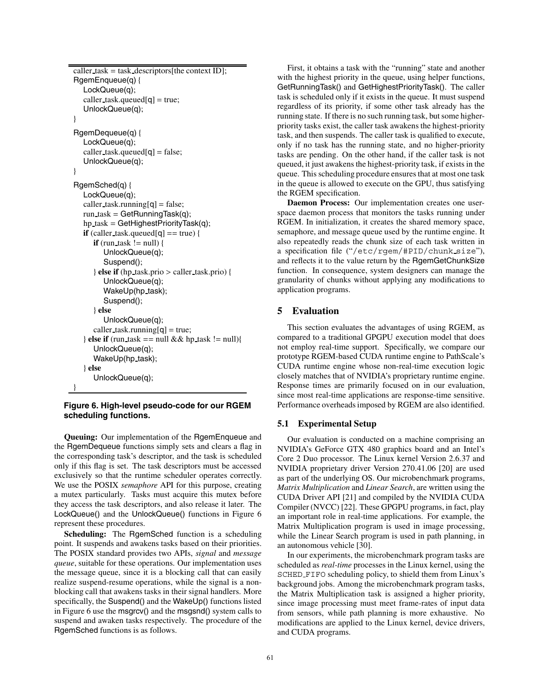```
caller task = task descriptors[the context ID];
RgemEnqueue(q) {
  LockQueue(q);
  cal[q] = true;UnlockQueue(q);
}
RgemDequeue(q) {
  LockQueue(q);
  caller_task.queued[q] = false;
  UnlockQueue(q);
}
RgemSched(q) {
  LockQueue(q);
  caller task.running[q] = false;
  run\_task = GetRunningTask(q);hp\_task = GetHighestPriorityTask(q);if (caller_task.queued[q] == true) {
     if (run_task != null) {
        UnlockQueue(q);
        Suspend();
     } else if (hp task.prio > caller task.prio) {
        UnlockQueue(q);
        WakeUp(hp_task);
        Suspend();
     } else
        UnlockQueue(q);
     caller_task.running[q] = true;
  \} else if (run_task == null && hp_task != null){
     UnlockQueue(q);
     WakeUp(hp_task);
  } else
     UnlockQueue(q);
}
```
## **Figure 6. High-level pseudo-code for our RGEM scheduling functions.**

**Queuing:** Our implementation of the RgemEnqueue and the RgemDequeue functions simply sets and clears a flag in the corresponding task's descriptor, and the task is scheduled only if this flag is set. The task descriptors must be accessed exclusively so that the runtime scheduler operates correctly. We use the POSIX *semaphore* API for this purpose, creating a mutex particularly. Tasks must acquire this mutex before they access the task descriptors, and also release it later. The LockQueue() and the UnlockQueue() functions in Figure 6 represent these procedures.

**Scheduling:** The RgemSched function is a scheduling point. It suspends and awakens tasks based on their priorities. The POSIX standard provides two APIs, *signal* and *message queue*, suitable for these operations. Our implementation uses the message queue, since it is a blocking call that can easily realize suspend-resume operations, while the signal is a nonblocking call that awakens tasks in their signal handlers. More specifically, the Suspend() and the WakeUp() functions listed in Figure 6 use the msgrcv() and the msgsnd() system calls to suspend and awaken tasks respectively. The procedure of the RgemSched functions is as follows.

First, it obtains a task with the "running" state and another with the highest priority in the queue, using helper functions, GetRunningTask() and GetHighestPriorityTask(). The caller task is scheduled only if it exists in the queue. It must suspend regardless of its priority, if some other task already has the running state. If there is no such running task, but some higherpriority tasks exist, the caller task awakens the highest-priority task, and then suspends. The caller task is qualified to execute, only if no task has the running state, and no higher-priority tasks are pending. On the other hand, if the caller task is not queued, it just awakens the highest-priority task, if exists in the queue. This scheduling procedure ensures that at most one task in the queue is allowed to execute on the GPU, thus satisfying the RGEM specification.

**Daemon Process:** Our implementation creates one userspace daemon process that monitors the tasks running under RGEM. In initialization, it creates the shared memory space, semaphore, and message queue used by the runtime engine. It also repeatedly reads the chunk size of each task written in a specification file ("/etc/rgem/#PID/chunk size"), and reflects it to the value return by the RgemGetChunkSize function. In consequence, system designers can manage the granularity of chunks without applying any modifications to application programs.

# **5 Evaluation**

This section evaluates the advantages of using RGEM, as compared to a traditional GPGPU execution model that does not employ real-time support. Specifically, we compare our prototype RGEM-based CUDA runtime engine to PathScale's CUDA runtime engine whose non-real-time execution logic closely matches that of NVIDIA's proprietary runtime engine. Response times are primarily focused on in our evaluation, since most real-time applications are response-time sensitive. Performance overheads imposed by RGEM are also identified.

#### **5.1 Experimental Setup**

Our evaluation is conducted on a machine comprising an NVIDIA's GeForce GTX 480 graphics board and an Intel's Core 2 Duo processor. The Linux kernel Version 2.6.37 and NVIDIA proprietary driver Version 270.41.06 [20] are used as part of the underlying OS. Our microbenchmark programs, *Matrix Multiplication* and *Linear Search*, are written using the CUDA Driver API [21] and compiled by the NVIDIA CUDA Compiler (NVCC) [22]. These GPGPU programs, in fact, play an important role in real-time applications. For example, the Matrix Multiplication program is used in image processing, while the Linear Search program is used in path planning, in an autonomous vehicle [30].

In our experiments, the microbenchmark program tasks are scheduled as *real-time* processes in the Linux kernel, using the SCHED FIFO scheduling policy, to shield them from Linux's background jobs. Among the microbenchmark program tasks, the Matrix Multiplication task is assigned a higher priority, since image processing must meet frame-rates of input data from sensors, while path planning is more exhaustive. No modifications are applied to the Linux kernel, device drivers, and CUDA programs.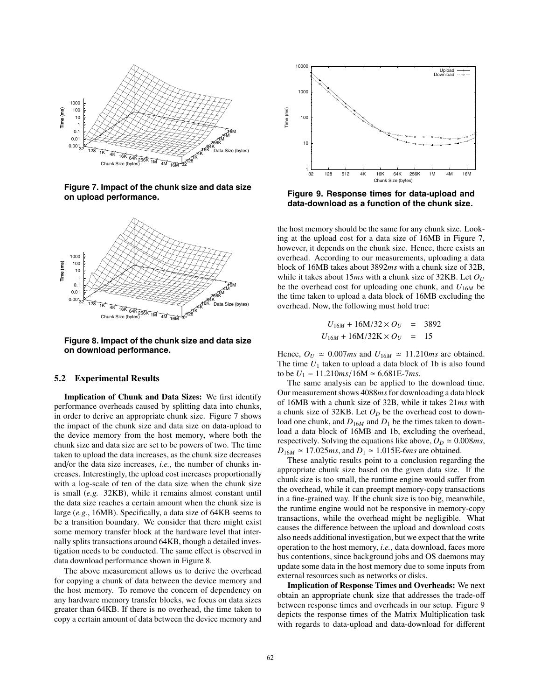

**Figure 7. Impact of the chunk size and data size on upload performance.**



**Figure 8. Impact of the chunk size and data size on download performance.**

## **5.2 Experimental Results**

**Implication of Chunk and Data Sizes:** We first identify performance overheads caused by splitting data into chunks, in order to derive an appropriate chunk size. Figure 7 shows the impact of the chunk size and data size on data-upload to the device memory from the host memory, where both the chunk size and data size are set to be powers of two. The time taken to upload the data increases, as the chunk size decreases and/or the data size increases, *i.e.*, the number of chunks increases. Interestingly, the upload cost increases proportionally with a log-scale of ten of the data size when the chunk size is small (*e.g.* 32KB), while it remains almost constant until the data size reaches a certain amount when the chunk size is large (*e.g.*, 16MB). Specifically, a data size of 64KB seems to be a transition boundary. We consider that there might exist some memory transfer block at the hardware level that internally splits transactions around 64KB, though a detailed investigation needs to be conducted. The same effect is observed in data download performance shown in Figure 8.

The above measurement allows us to derive the overhead for copying a chunk of data between the device memory and the host memory. To remove the concern of dependency on any hardware memory transfer blocks, we focus on data sizes greater than 64KB. If there is no overhead, the time taken to copy a certain amount of data between the device memory and



**Figure 9. Response times for data-upload and data-download as a function of the chunk size.**

the host memory should be the same for any chunk size. Looking at the upload cost for a data size of 16MB in Figure 7, however, it depends on the chunk size. Hence, there exists an overhead. According to our measurements, uploading a data block of 16MB takes about 3892*ms* with a chunk size of 32B, while it takes about 15 $ms$  with a chunk size of 32KB. Let  $O_U$ be the overhead cost for uploading one chunk, and  $U_{16M}$  be the time taken to upload a data block of 16MB excluding the overhead. Now, the following must hold true:

$$
U_{16M} + 16M/32 \times O_U = 3892
$$
  

$$
U_{16M} + 16M/32K \times O_U = 15
$$

Hence,  $O_U \approx 0.007ms$  and  $U_{16M} \approx 11.210ms$  are obtained. The time  $U_1$  taken to upload a data block of 1b is also found to be  $U_1 = 11.210 \text{ms}/16 \text{M} \approx 6.681 \text{E} - 7 \text{ms}.$ 

The same analysis can be applied to the download time. Our measurement shows 4088*ms*for downloading a data block of 16MB with a chunk size of 32B, while it takes 21*ms* with a chunk size of  $32KB$ . Let  $O_D$  be the overhead cost to download one chunk, and  $D_{16M}$  and  $D_1$  be the times taken to download a data block of 16MB and 1b, excluding the overhead, respectively. Solving the equations like above,  $O_D \approx 0.008ms$ ,  $D_{16M} \approx 17.025$ *ms*, and  $D_1 \approx 1.015$ E-6*ms* are obtained.

These analytic results point to a conclusion regarding the appropriate chunk size based on the given data size. If the chunk size is too small, the runtime engine would suffer from the overhead, while it can preempt memory-copy transactions in a fine-grained way. If the chunk size is too big, meanwhile, the runtime engine would not be responsive in memory-copy transactions, while the overhead might be negligible. What causes the difference between the upload and download costs also needs additional investigation, but we expect that the write operation to the host memory, *i.e.*, data download, faces more bus contentions, since background jobs and OS daemons may update some data in the host memory due to some inputs from external resources such as networks or disks.

**Implication of Response Times and Overheads:** We next obtain an appropriate chunk size that addresses the trade-off between response times and overheads in our setup. Figure 9 depicts the response times of the Matrix Multiplication task with regards to data-upload and data-download for different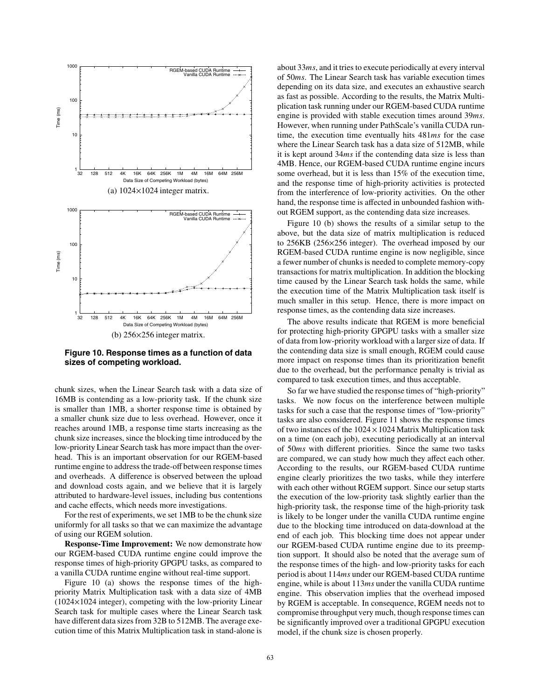

**Figure 10. Response times as a function of data sizes of competing workload.**

chunk sizes, when the Linear Search task with a data size of 16MB is contending as a low-priority task. If the chunk size is smaller than 1MB, a shorter response time is obtained by a smaller chunk size due to less overhead. However, once it reaches around 1MB, a response time starts increasing as the chunk size increases, since the blocking time introduced by the low-priority Linear Search task has more impact than the overhead. This is an important observation for our RGEM-based runtime engine to address the trade-off between response times and overheads. A difference is observed between the upload and download costs again, and we believe that it is largely attributed to hardware-level issues, including bus contentions and cache effects, which needs more investigations.

For the rest of experiments, we set 1MB to be the chunk size uniformly for all tasks so that we can maximize the advantage of using our RGEM solution.

**Response-Time Improvement:** We now demonstrate how our RGEM-based CUDA runtime engine could improve the response times of high-priority GPGPU tasks, as compared to a vanilla CUDA runtime engine without real-time support.

Figure 10 (a) shows the response times of the highpriority Matrix Multiplication task with a data size of 4MB (1024×1024 integer), competing with the low-priority Linear Search task for multiple cases where the Linear Search task have different data sizes from 32B to 512MB. The average execution time of this Matrix Multiplication task in stand-alone is

about 33*ms*, and it tries to execute periodically at every interval of 50*ms*. The Linear Search task has variable execution times depending on its data size, and executes an exhaustive search as fast as possible. According to the results, the Matrix Multiplication task running under our RGEM-based CUDA runtime engine is provided with stable execution times around 39*ms*. However, when running under PathScale's vanilla CUDA runtime, the execution time eventually hits 481*ms* for the case where the Linear Search task has a data size of 512MB, while it is kept around 34*ms* if the contending data size is less than 4MB. Hence, our RGEM-based CUDA runtime engine incurs some overhead, but it is less than 15% of the execution time, and the response time of high-priority activities is protected from the interference of low-priority activities. On the other hand, the response time is affected in unbounded fashion without RGEM support, as the contending data size increases.

Figure 10 (b) shows the results of a similar setup to the above, but the data size of matrix multiplication is reduced to 256KB (256×256 integer). The overhead imposed by our RGEM-based CUDA runtime engine is now negligible, since a fewer number of chunks is needed to complete memory-copy transactions for matrix multiplication. In addition the blocking time caused by the Linear Search task holds the same, while the execution time of the Matrix Multiplication task itself is much smaller in this setup. Hence, there is more impact on response times, as the contending data size increases.

The above results indicate that RGEM is more beneficial for protecting high-priority GPGPU tasks with a smaller size of data from low-priority workload with a larger size of data. If the contending data size is small enough, RGEM could cause more impact on response times than its prioritization benefit due to the overhead, but the performance penalty is trivial as compared to task execution times, and thus acceptable.

So far we have studied the response times of "high-priority" tasks. We now focus on the interference between multiple tasks for such a case that the response times of "low-priority" tasks are also considered. Figure 11 shows the response times of two instances of the  $1024 \times 1024$  Matrix Multiplication task on a time (on each job), executing periodically at an interval of 50*ms* with different priorities. Since the same two tasks are compared, we can study how much they affect each other. According to the results, our RGEM-based CUDA runtime engine clearly prioritizes the two tasks, while they interfere with each other without RGEM support. Since our setup starts the execution of the low-priority task slightly earlier than the high-priority task, the response time of the high-priority task is likely to be longer under the vanilla CUDA runtime engine due to the blocking time introduced on data-download at the end of each job. This blocking time does not appear under our RGEM-based CUDA runtime engine due to its preemption support. It should also be noted that the average sum of the response times of the high- and low-priority tasks for each period is about 114*ms* under our RGEM-based CUDA runtime engine, while is about 113*ms* under the vanilla CUDA runtime engine. This observation implies that the overhead imposed by RGEM is acceptable. In consequence, RGEM needs not to compromise throughput very much, though response times can be significantly improved over a traditional GPGPU execution model, if the chunk size is chosen properly.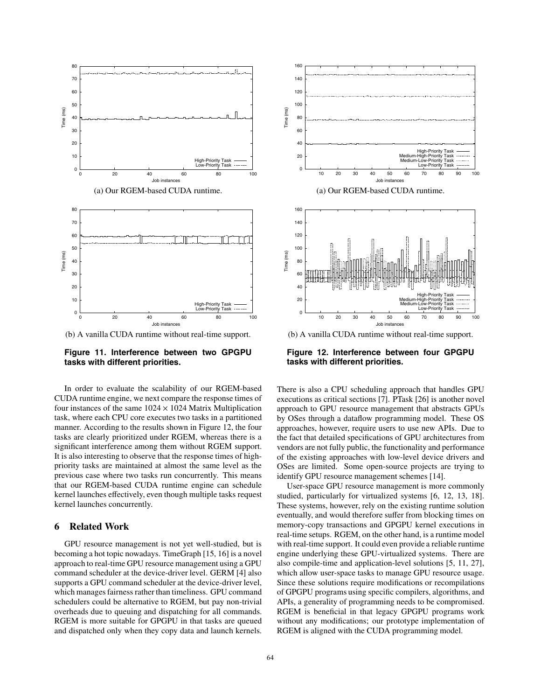

(b) A vanilla CUDA runtime without real-time support.

## **Figure 11. Interference between two GPGPU tasks with different priorities.**

In order to evaluate the scalability of our RGEM-based CUDA runtime engine, we next compare the response times of four instances of the same  $1024 \times 1024$  Matrix Multiplication task, where each CPU core executes two tasks in a partitioned manner. According to the results shown in Figure 12, the four tasks are clearly prioritized under RGEM, whereas there is a significant interference among them without RGEM support. It is also interesting to observe that the response times of highpriority tasks are maintained at almost the same level as the previous case where two tasks run concurrently. This means that our RGEM-based CUDA runtime engine can schedule kernel launches effectively, even though multiple tasks request kernel launches concurrently.

# **6 Related Work**

GPU resource management is not yet well-studied, but is becoming a hot topic nowadays. TimeGraph [15, 16] is a novel approach to real-time GPU resource management using a GPU command scheduler at the device-driver level. GERM [4] also supports a GPU command scheduler at the device-driver level, which manages fairness rather than timeliness. GPU command schedulers could be alternative to RGEM, but pay non-trivial overheads due to queuing and dispatching for all commands. RGEM is more suitable for GPGPU in that tasks are queued and dispatched only when they copy data and launch kernels.



(b) A vanilla CUDA runtime without real-time support.

**Figure 12. Interference between four GPGPU tasks with different priorities.**

There is also a CPU scheduling approach that handles GPU executions as critical sections [7]. PTask [26] is another novel approach to GPU resource management that abstracts GPUs by OSes through a dataflow programming model. These OS approaches, however, require users to use new APIs. Due to the fact that detailed specifications of GPU architectures from vendors are not fully public, the functionality and performance of the existing approaches with low-level device drivers and OSes are limited. Some open-source projects are trying to identify GPU resource management schemes [14].

User-space GPU resource management is more commonly studied, particularly for virtualized systems [6, 12, 13, 18]. These systems, however, rely on the existing runtime solution eventually, and would therefore suffer from blocking times on memory-copy transactions and GPGPU kernel executions in real-time setups. RGEM, on the other hand, is a runtime model with real-time support. It could even provide a reliable runtime engine underlying these GPU-virtualized systems. There are also compile-time and application-level solutions [5, 11, 27], which allow user-space tasks to manage GPU resource usage. Since these solutions require modifications or recompilations of GPGPU programs using specific compilers, algorithms, and APIs, a generality of programming needs to be compromised. RGEM is beneficial in that legacy GPGPU programs work without any modifications; our prototype implementation of RGEM is aligned with the CUDA programming model.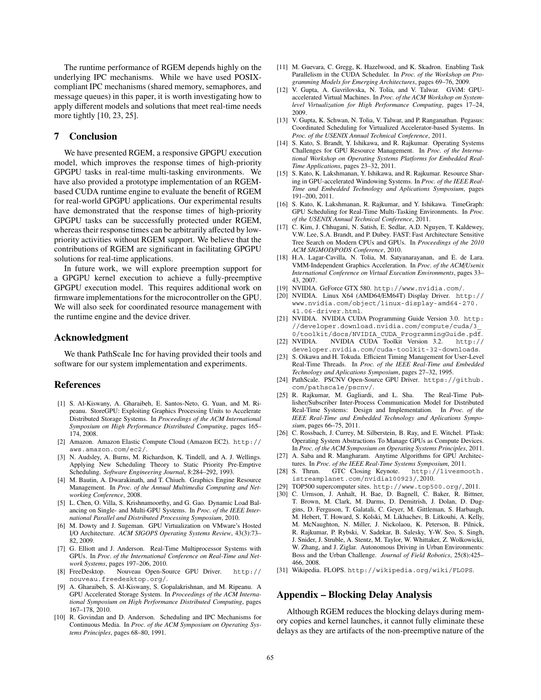The runtime performance of RGEM depends highly on the underlying IPC mechanisms. While we have used POSIXcompliant IPC mechanisms (shared memory, semaphores, and message queues) in this paper, it is worth investigating how to apply different models and solutions that meet real-time needs more tightly [10, 23, 25].

## **7 Conclusion**

We have presented RGEM, a responsive GPGPU execution model, which improves the response times of high-priority GPGPU tasks in real-time multi-tasking environments. We have also provided a prototype implementation of an RGEMbased CUDA runtime engine to evaluate the benefit of RGEM for real-world GPGPU applications. Our experimental results have demonstrated that the response times of high-priority GPGPU tasks can be successfully protected under RGEM, whereas their response times can be arbitrarily affected by lowpriority activities without RGEM support. We believe that the contributions of RGEM are significant in facilitating GPGPU solutions for real-time applications.

In future work, we will explore preemption support for a GPGPU kernel execution to achieve a fully-preemptive GPGPU execution model. This requires additional work on firmware implementations for the microcontroller on the GPU. We will also seek for coordinated resource management with the runtime engine and the device driver.

#### **Acknowledgment**

We thank PathScale Inc for having provided their tools and software for our system implementation and experiments.

#### **References**

- [1] S. Al-Kiswany, A. Gharaibeh, E. Santos-Neto, G. Yuan, and M. Ripeanu. StoreGPU: Exploiting Graphics Processing Units to Accelerate Distributed Storage Systems. In *Proceedings of the ACM International Symposium on High Performance Distributed Computing*, pages 165– 174, 2008.
- [2] Amazon. Amazon Elastic Compute Cloud (Amazon EC2). http:// aws.amazon.com/ec2/.
- [3] N. Audsley, A. Burns, M. Richardson, K. Tindell, and A. J. Wellings. Applying New Scheduling Theory to Static Priority Pre-Emptive Scheduling. *Software Engineering Journal*, 8:284–292, 1993.
- [4] M. Bautin, A. Dwarakinath, and T. Chiueh. Graphics Engine Resource Management. In *Proc. of the Annual Multimedia Computing and Networking Conference*, 2008.
- [5] L. Chen, O. Villa, S. Krishnamoorthy, and G. Gao. Dynamic Load Balancing on Single- and Multi-GPU Systems. In *Proc. of the IEEE International Parallel and Distributed Processing Symposium*, 2010.
- [6] M. Dowty and J. Sugeman. GPU Virtualization on VMware's Hosted I/O Architecture. *ACM SIGOPS Operating Systems Review*, 43(3):73– 82, 2009.
- [7] G. Elliott and J. Anderson. Real-Time Multiprocessor Systems with GPUs. In *Proc. of the International Conference on Real-Time and Network Systems*, pages 197–206, 2010.
- [8] FreeDesktop. Nouveau Open-Source GPU Driver. http:// nouveau.freedesktop.org/.
- [9] A. Gharaibeh, S. Al-Kiswany, S. Gopalakrishnan, and M. Ripeanu. A GPU Accelerated Storage System. In *Proceedings of the ACM International Symposium on High Performance Distributed Computing*, pages 167–178, 2010.
- [10] R. Govindan and D. Anderson. Scheduling and IPC Mechanisms for Continuous Media. In *Proc. of the ACM Symposium on Operating Systems Principles*, pages 68–80, 1991.
- [11] M. Guevara, C. Gregg, K. Hazelwood, and K. Skadron. Enabling Task Parallelism in the CUDA Scheduler. In *Proc. of the Workshop on Programming Models for Emerging Architectures*, pages 69–76, 2009.
- [12] V. Gupta, A. Gavrilovska, N. Tolia, and V. Talwar. GViM: GPUaccelerated Virtual Machines. In *Proc. of the ACM Workshop on Systemlevel Virtualization for High Performance Computing*, pages 17–24, 2009.
- [13] V. Gupta, K. Schwan, N. Tolia, V. Talwar, and P. Ranganathan. Pegasus: Coordinated Scheduling for Virtualized Accelerator-based Systems. In *Proc. of the USENIX Annual Technical Conference*, 2011.
- [14] S. Kato, S. Brandt, Y. Ishikawa, and R. Rajkumar. Operating Systems Challenges for GPU Resource Management. In *Proc. of the International Workshop on Operating Systems Platforms for Embedded Real-Time Applications*, pages 23–32, 2011.
- [15] S. Kato, K. Lakshmanan, Y. Ishikawa, and R. Rajkumar. Resource Sharing in GPU-accelerated Windowing Systems. In *Proc. of the IEEE Real-Time and Embedded Technology and Aplications Symposium*, pages 191–200, 2011.
- [16] S. Kato, K. Lakshmanan, R. Rajkumar, and Y. Ishikawa. TimeGraph: GPU Scheduling for Real-Time Multi-Tasking Environments. In *Proc. of the USENIX Annual Technical Conference*, 2011.
- [17] C. Kim, J. Chhugani, N. Satish, E. Sedlar, A.D. Nguyen, T. Kaldewey, V.W. Lee, S.A. Brandt, and P. Dubey. FAST: Fast Architecture Sensitive Tree Search on Modern CPUs and GPUs. In *Proceedings of the 2010 ACM SIGMOD*/*PODS Conference*, 2010.
- [18] H.A. Lagar-Cavilla, N. Tolia, M. Satyanarayanan, and E. de Lara. VMM-Independent Graphics Acceleration. In *Proc. of the ACM*/*Usenix International Conference on Virtual Execution Environments*, pages 33– 43, 2007.
- [19] NVIDIA. GeForce GTX 580. http://www.nvidia.com/.
- [20] NVIDIA. Linux X64 (AMD64/EM64T) Display Driver. http:// www.nvidia.com/object/linux-display-amd64-270. 41.06-driver.html.
- [21] NVIDIA. NVIDIA CUDA Programming Guide Version 3.0. http: //developer.download.nvidia.com/compute/cuda/3\_ 0/toolkit/docs/NVIDIA\_CUDA\_ProgrammingGuide.pdf.<br>[22] NVIDIA. NVIDIA\_CUDA\_Toolkit Version 3.2. http://
- NVIDIA CUDA Toolkit Version 3.2. http:// developer.nvidia.com/cuda-toolkit-32-downloads.
- [23] S. Oikawa and H. Tokuda. Efficient Timing Management for User-Level Real-Time Threads. In *Proc. of the IEEE Real-Time and Embedded Technology and Aplications Symposium*, pages 27–32, 1995.
- [24] PathScale. PSCNV Open-Source GPU Driver. https://github. com/pathscale/pscnv/.
- [25] R. Rajkumar, M. Gagliardi, and L. Sha. The Real-Time Publisher/Subscriber Inter-Process Communication Model for Distributed Real-Time Systems: Design and Implementation. In *Proc. of the IEEE Real-Time and Embedded Technology and Aplications Symposium*, pages 66–75, 2011.
- [26] C. Rossbach, J. Currey, M. Silberstein, B. Ray, and E. Witchel. PTask: Operating System Abstractions To Manage GPUs as Compute Devices. In *Proc. of the ACM Symposium on Operating Systems Principles*, 2011.
- [27] A. Saba and R. Mangharam. Anytime Algorithms for GPU Architectures. In *Proc. of the IEEE Real-Time Systems Symposium*, 2011.<br>[28] S. Thrun. GTC Closing Keynote. http://livesmo
- http://livesmooth. istreamplanet.com/nvidia100923/, 2010.
- [29] TOP500 supercomputer sites. http://www.top500.org/, 2011.
- [30] C. Urmson, J. Anhalt, H. Bae, D. Bagnell, C. Baker, R. Bittner, T. Brown, M. Clark, M. Darms, D. Demitrish, J. Dolan, D. Duggins, D. Ferguson, T. Galatali, C. Geyer, M. Gittleman, S. Harbaugh, M. Hebert, T. Howard, S. Kolski, M. Likhachev, B. Litkouhi, A. Kelly, M. McNaughton, N. Miller, J. Nickolaou, K. Peterson, B. Pilnick, R. Rajkumar, P. Rybski, V. Sadekar, B. Salesky, Y-W. Seo, S. Singh, J. Snider, J. Struble, A. Stentz, M. Taylor, W. Whittaker, Z. Wolkowicki, W. Zhang, and J. Ziglar. Autonomous Driving in Urban Environments: Boss and the Urban Challenge. *Journal of Field Robotics*, 25(8):425– 466, 2008.
- [31] Wikipedia. FLOPS. http://wikipedia.org/wiki/FLOPS.

## **Appendix – Blocking Delay Analysis**

Although RGEM reduces the blocking delays during memory copies and kernel launches, it cannot fully eliminate these delays as they are artifacts of the non-preemptive nature of the